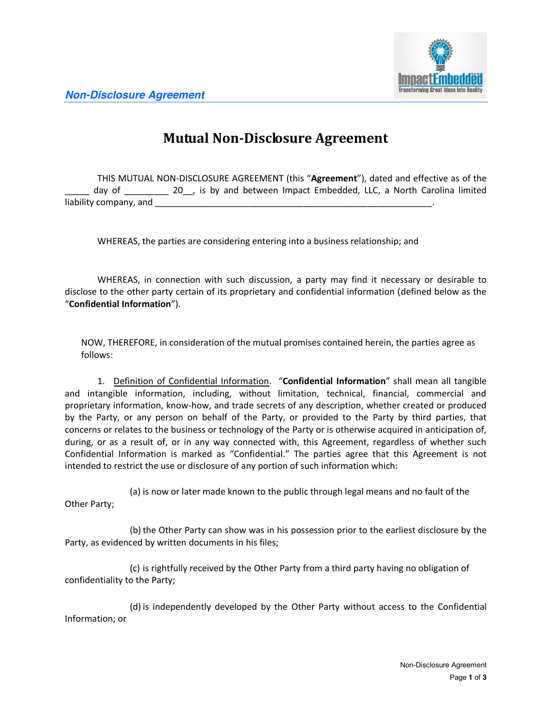



## **Mutual Non-Disclosure Agreement**

THIS MUTUAL NON-DISCLOSURE AGREEMENT (this "**Agreement**"), dated and effective as of the day of \_\_\_\_\_\_\_ 20\_, is by and between Impact Embedded, LLC, a North Carolina limited liability company, and **Example 20** 

WHEREAS, the parties are considering entering into a business relationship; and

WHEREAS, in connection with such discussion, a party may find it necessary or desirable to disclose to the other party certain of its proprietary and confidential information (defined below as the "**Confidential Information**").

NOW, THEREFORE, in consideration of the mutual promises contained herein, the parties agree as follows:

1. Definition of Confidential Information. "**Confidential Information**" shall mean all tangible and intangible information, including, without limitation, technical, financial, commercial and proprietary information, know-how, and trade secrets of any description, whether created or produced by the Party, or any person on behalf of the Party, or provided to the Party by third parties, that concerns or relates to the business or technology of the Party or is otherwise acquired in anticipation of, during, or as a result of, or in any way connected with, this Agreement, regardless of whether such Confidential Information is marked as "Confidential." The parties agree that this Agreement is not intended to restrict the use or disclosure of any portion of such information which:

(a) is now or later made known to the public through legal means and no fault of the Other Party;

(b) the Other Party can show was in his possession prior to the earliest disclosure by the Party, as evidenced by written documents in his files;

(c) is rightfully received by the Other Party from a third party having no obligation of confidentiality to the Party;

(d) is independently developed by the Other Party without access to the Confidential Information; or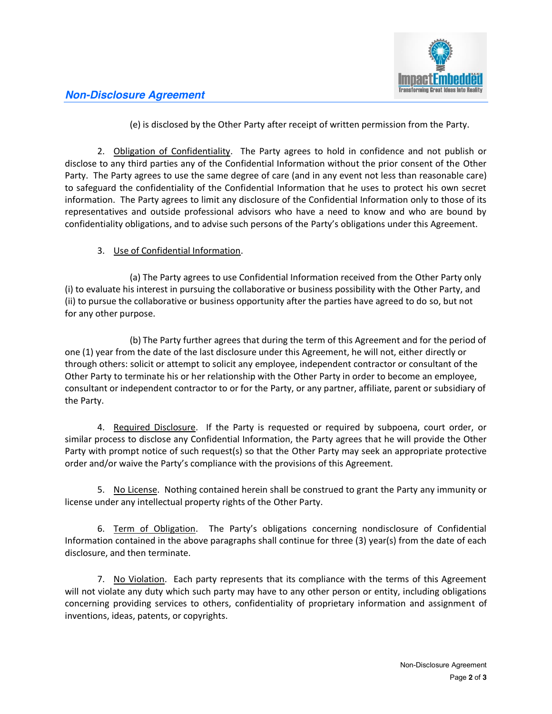

## *Non-Disclosure Agreement*

(e) is disclosed by the Other Party after receipt of written permission from the Party.

2. **Obligation of Confidentiality**. The Party agrees to hold in confidence and not publish or disclose to any third parties any of the Confidential Information without the prior consent of the Other Party. The Party agrees to use the same degree of care (and in any event not less than reasonable care) to safeguard the confidentiality of the Confidential Information that he uses to protect his own secret information. The Party agrees to limit any disclosure of the Confidential Information only to those of its representatives and outside professional advisors who have a need to know and who are bound by confidentiality obligations, and to advise such persons of the Party's obligations under this Agreement.

## 3. Use of Confidential Information.

(a) The Party agrees to use Confidential Information received from the Other Party only (i) to evaluate his interest in pursuing the collaborative or business possibility with the Other Party, and (ii) to pursue the collaborative or business opportunity after the parties have agreed to do so, but not for any other purpose.

(b) The Party further agrees that during the term of this Agreement and for the period of one (1) year from the date of the last disclosure under this Agreement, he will not, either directly or through others: solicit or attempt to solicit any employee, independent contractor or consultant of the Other Party to terminate his or her relationship with the Other Party in order to become an employee, consultant or independent contractor to or for the Party, or any partner, affiliate, parent or subsidiary of the Party.

4. Required Disclosure. If the Party is requested or required by subpoena, court order, or similar process to disclose any Confidential Information, the Party agrees that he will provide the Other Party with prompt notice of such request(s) so that the Other Party may seek an appropriate protective order and/or waive the Party's compliance with the provisions of this Agreement.

5. No License. Nothing contained herein shall be construed to grant the Party any immunity or license under any intellectual property rights of the Other Party.

6. Term of Obligation. The Party's obligations concerning nondisclosure of Confidential Information contained in the above paragraphs shall continue for three (3) year(s) from the date of each disclosure, and then terminate.

7. No Violation. Each party represents that its compliance with the terms of this Agreement will not violate any duty which such party may have to any other person or entity, including obligations concerning providing services to others, confidentiality of proprietary information and assignment of inventions, ideas, patents, or copyrights.